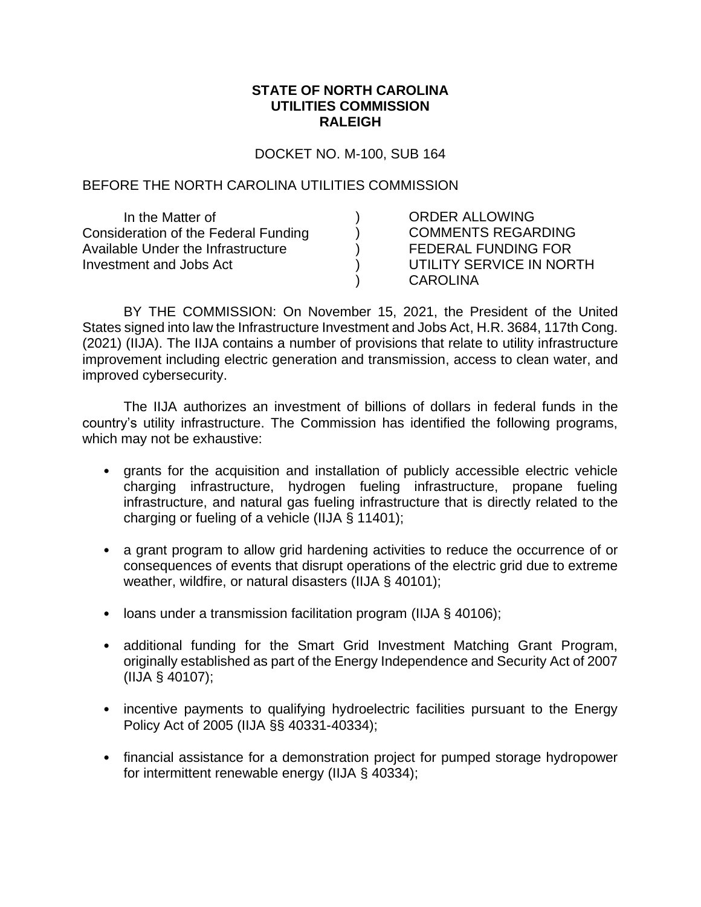## **STATE OF NORTH CAROLINA UTILITIES COMMISSION RALEIGH**

DOCKET NO. M-100, SUB 164

## BEFORE THE NORTH CAROLINA UTILITIES COMMISSION

| In the Matter of                     | <b>ORDER ALLOWING</b>      |
|--------------------------------------|----------------------------|
| Consideration of the Federal Funding | <b>COMMENTS REGARDING</b>  |
| Available Under the Infrastructure   | <b>FEDERAL FUNDING FOR</b> |
| Investment and Jobs Act              | UTILITY SERVICE IN NORTH   |
|                                      | <b>CAROLINA</b>            |

BY THE COMMISSION: On November 15, 2021, the President of the United States signed into law the Infrastructure Investment and Jobs Act, H.R. 3684, 117th Cong. (2021) (IIJA). The IIJA contains a number of provisions that relate to utility infrastructure improvement including electric generation and transmission, access to clean water, and improved cybersecurity.

The IIJA authorizes an investment of billions of dollars in federal funds in the country's utility infrastructure. The Commission has identified the following programs, which may not be exhaustive:

- grants for the acquisition and installation of publicly accessible electric vehicle charging infrastructure, hydrogen fueling infrastructure, propane fueling infrastructure, and natural gas fueling infrastructure that is directly related to the charging or fueling of a vehicle (IIJA § 11401);
- a grant program to allow grid hardening activities to reduce the occurrence of or consequences of events that disrupt operations of the electric grid due to extreme weather, wildfire, or natural disasters (IIJA § 40101);
- loans under a transmission facilitation program (IIJA § 40106);
- additional funding for the Smart Grid Investment Matching Grant Program, originally established as part of the Energy Independence and Security Act of 2007 (IIJA § 40107);
- incentive payments to qualifying hydroelectric facilities pursuant to the Energy Policy Act of 2005 (IIJA §§ 40331-40334);
- financial assistance for a demonstration project for pumped storage hydropower for intermittent renewable energy (IIJA § 40334);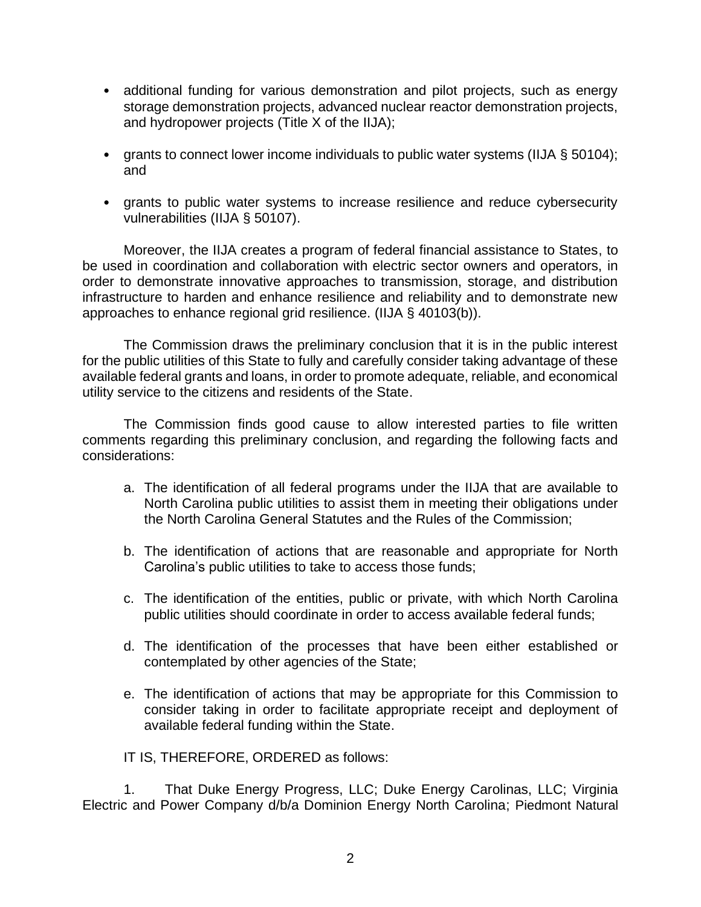- additional funding for various demonstration and pilot projects, such as energy storage demonstration projects, advanced nuclear reactor demonstration projects, and hydropower projects (Title X of the IIJA);
- grants to connect lower income individuals to public water systems (IIJA § 50104); and
- grants to public water systems to increase resilience and reduce cybersecurity vulnerabilities (IIJA § 50107).

Moreover, the IIJA creates a program of federal financial assistance to States, to be used in coordination and collaboration with electric sector owners and operators, in order to demonstrate innovative approaches to transmission, storage, and distribution infrastructure to harden and enhance resilience and reliability and to demonstrate new approaches to enhance regional grid resilience. (IIJA § 40103(b)).

The Commission draws the preliminary conclusion that it is in the public interest for the public utilities of this State to fully and carefully consider taking advantage of these available federal grants and loans, in order to promote adequate, reliable, and economical utility service to the citizens and residents of the State.

The Commission finds good cause to allow interested parties to file written comments regarding this preliminary conclusion, and regarding the following facts and considerations:

- a. The identification of all federal programs under the IIJA that are available to North Carolina public utilities to assist them in meeting their obligations under the North Carolina General Statutes and the Rules of the Commission;
- b. The identification of actions that are reasonable and appropriate for North Carolina's public utilities to take to access those funds;
- c. The identification of the entities, public or private, with which North Carolina public utilities should coordinate in order to access available federal funds;
- d. The identification of the processes that have been either established or contemplated by other agencies of the State;
- e. The identification of actions that may be appropriate for this Commission to consider taking in order to facilitate appropriate receipt and deployment of available federal funding within the State.

IT IS, THEREFORE, ORDERED as follows:

1. That Duke Energy Progress, LLC; Duke Energy Carolinas, LLC; Virginia Electric and Power Company d/b/a Dominion Energy North Carolina; Piedmont Natural